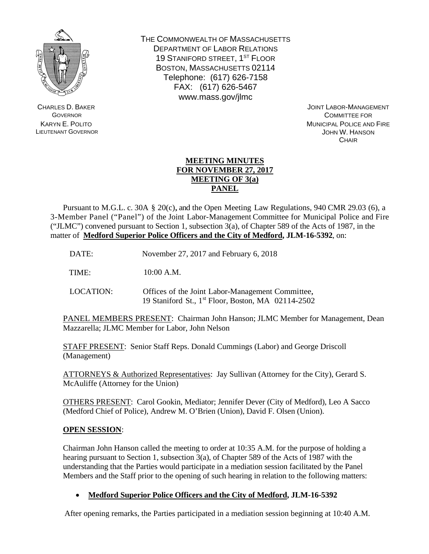

CHARLES D. BAKER **GOVERNOR** KARYN E. POLITO LIEUTENANT GOVERNOR THE COMMONWEALTH OF MASSACHUSETTS DEPARTMENT OF LABOR RELATIONS 19 STANIFORD STREET, 1ST FLOOR BOSTON, MASSACHUSETTS 02114 Telephone: (617) 626-7158 FAX: (617) 626-5467 www.mass.gov/jlmc

 JOINT LABOR-MANAGEMENT COMMITTEE FOR MUNICIPAL POLICE AND FIRE JOHN W. HANSON **CHAIR** 

## **MEETING MINUTES FOR NOVEMBER 27, 2017 MEETING OF 3(a) PANEL**

 Pursuant to M.G.L. c. 30A § 20(c), and the Open Meeting Law Regulations, 940 CMR 29.03 (6), a 3-Member Panel ("Panel") of the Joint Labor-Management Committee for Municipal Police and Fire ("JLMC") convened pursuant to Section 1, subsection 3(a), of Chapter 589 of the Acts of 1987, in the matter of **Medford Superior Police Officers and the City of Medford, JLM-16-5392**, on:

DATE: November 27, 2017 and February 6, 2018

TIME: 10:00 A.M.

LOCATION: Offices of the Joint Labor-Management Committee, 19 Staniford St., 1st Floor, Boston, MA 02114-2502

PANEL MEMBERS PRESENT: Chairman John Hanson; JLMC Member for Management, Dean Mazzarella; JLMC Member for Labor, John Nelson

STAFF PRESENT: Senior Staff Reps. Donald Cummings (Labor) and George Driscoll (Management)

ATTORNEYS & Authorized Representatives: Jay Sullivan (Attorney for the City), Gerard S. McAuliffe (Attorney for the Union)

OTHERS PRESENT: Carol Gookin, Mediator; Jennifer Dever (City of Medford), Leo A Sacco (Medford Chief of Police), Andrew M. O'Brien (Union), David F. Olsen (Union).

## **OPEN SESSION**:

Chairman John Hanson called the meeting to order at 10:35 A.M. for the purpose of holding a hearing pursuant to Section 1, subsection 3(a), of Chapter 589 of the Acts of 1987 with the understanding that the Parties would participate in a mediation session facilitated by the Panel Members and the Staff prior to the opening of such hearing in relation to the following matters:

**Medford Superior Police Officers and the City of Medford, JLM-16-5392**

After opening remarks, the Parties participated in a mediation session beginning at 10:40 A.M.